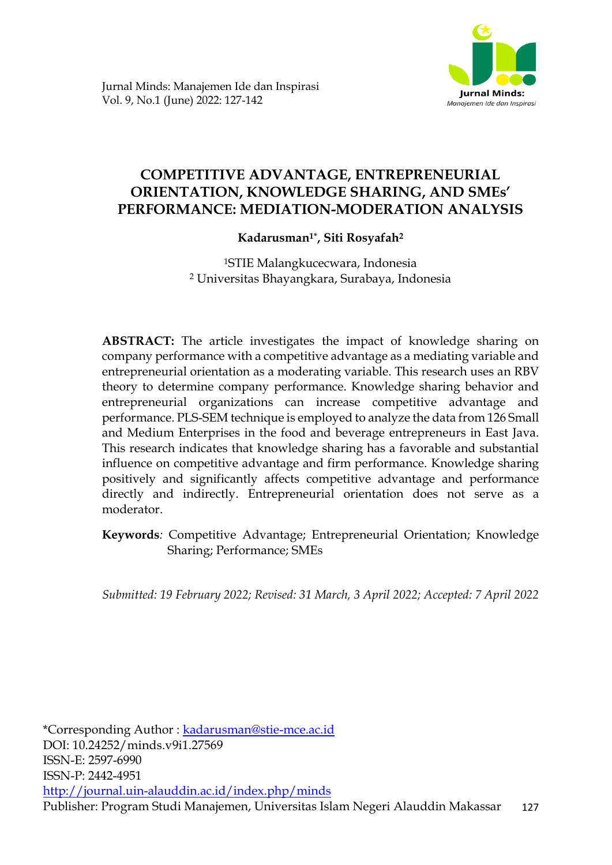

# **COMPETITIVE ADVANTAGE, ENTREPRENEURIAL ORIENTATION, KNOWLEDGE SHARING, AND SMEs' PERFORMANCE: MEDIATION-MODERATION ANALYSIS**

# **Kadarusman1\*, Siti Rosyafah<sup>2</sup>**

<sup>1</sup>STIE Malangkucecwara, Indonesia <sup>2</sup> Universitas Bhayangkara, Surabaya, Indonesia

**ABSTRACT:** The article investigates the impact of knowledge sharing on company performance with a competitive advantage as a mediating variable and entrepreneurial orientation as a moderating variable. This research uses an RBV theory to determine company performance. Knowledge sharing behavior and entrepreneurial organizations can increase competitive advantage and performance. PLS-SEM technique is employed to analyze the data from 126 Small and Medium Enterprises in the food and beverage entrepreneurs in East Java. This research indicates that knowledge sharing has a favorable and substantial influence on competitive advantage and firm performance. Knowledge sharing positively and significantly affects competitive advantage and performance directly and indirectly. Entrepreneurial orientation does not serve as a moderator.

**Keywords***:* Competitive Advantage; Entrepreneurial Orientation; Knowledge Sharing; Performance; SMEs

*Submitted: 19 February 2022; Revised: 31 March, 3 April 2022; Accepted: 7 April 2022*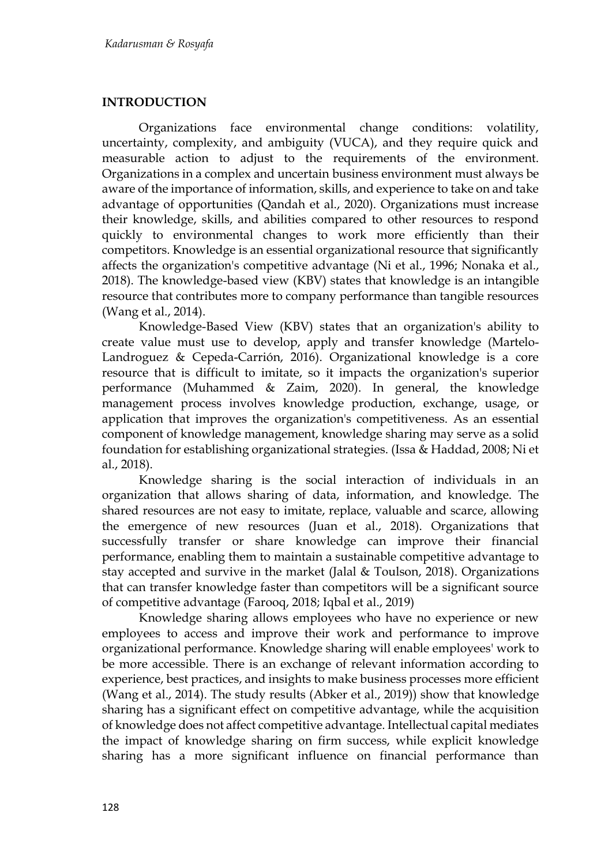# **INTRODUCTION**

Organizations face environmental change conditions: volatility, uncertainty, complexity, and ambiguity (VUCA), and they require quick and measurable action to adjust to the requirements of the environment. Organizations in a complex and uncertain business environment must always be aware of the importance of information, skills, and experience to take on and take advantage of opportunities (Qandah et al., 2020). Organizations must increase their knowledge, skills, and abilities compared to other resources to respond quickly to environmental changes to work more efficiently than their competitors. Knowledge is an essential organizational resource that significantly affects the organization's competitive advantage (Ni et al., 1996; Nonaka et al., 2018). The knowledge-based view (KBV) states that knowledge is an intangible resource that contributes more to company performance than tangible resources (Wang et al., 2014).

Knowledge-Based View (KBV) states that an organization's ability to create value must use to develop, apply and transfer knowledge (Martelo-Landroguez & Cepeda-Carrión, 2016). Organizational knowledge is a core resource that is difficult to imitate, so it impacts the organization's superior performance (Muhammed & Zaim, 2020). In general, the knowledge management process involves knowledge production, exchange, usage, or application that improves the organization's competitiveness. As an essential component of knowledge management, knowledge sharing may serve as a solid foundation for establishing organizational strategies. (Issa & Haddad, 2008; Ni et al., 2018).

Knowledge sharing is the social interaction of individuals in an organization that allows sharing of data, information, and knowledge. The shared resources are not easy to imitate, replace, valuable and scarce, allowing the emergence of new resources (Juan et al., 2018). Organizations that successfully transfer or share knowledge can improve their financial performance, enabling them to maintain a sustainable competitive advantage to stay accepted and survive in the market (Jalal & Toulson, 2018). Organizations that can transfer knowledge faster than competitors will be a significant source of competitive advantage (Farooq, 2018; Iqbal et al., 2019)

Knowledge sharing allows employees who have no experience or new employees to access and improve their work and performance to improve organizational performance. Knowledge sharing will enable employees' work to be more accessible. There is an exchange of relevant information according to experience, best practices, and insights to make business processes more efficient (Wang et al., 2014). The study results (Abker et al., 2019)) show that knowledge sharing has a significant effect on competitive advantage, while the acquisition of knowledge does not affect competitive advantage. Intellectual capital mediates the impact of knowledge sharing on firm success, while explicit knowledge sharing has a more significant influence on financial performance than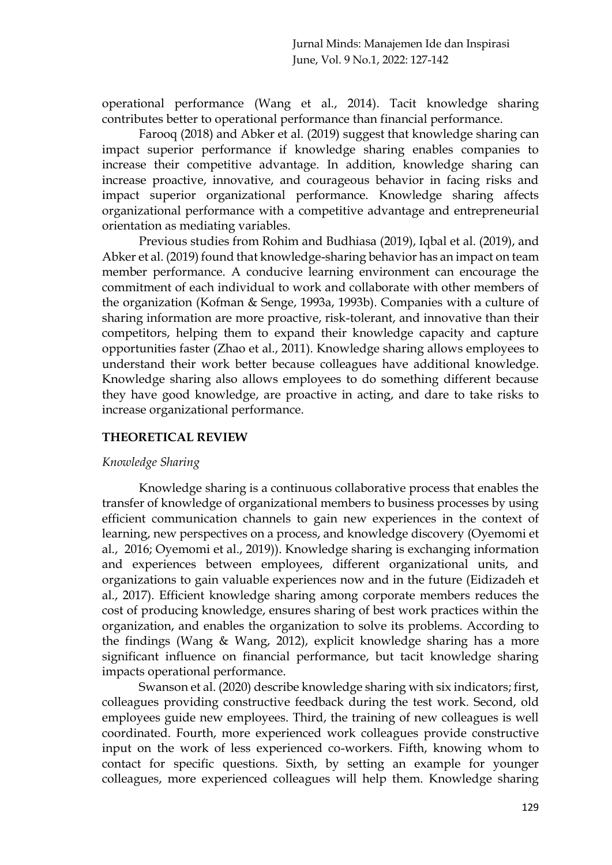operational performance (Wang et al., 2014). Tacit knowledge sharing contributes better to operational performance than financial performance.

Farooq (2018) and Abker et al. (2019) suggest that knowledge sharing can impact superior performance if knowledge sharing enables companies to increase their competitive advantage. In addition, knowledge sharing can increase proactive, innovative, and courageous behavior in facing risks and impact superior organizational performance. Knowledge sharing affects organizational performance with a competitive advantage and entrepreneurial orientation as mediating variables.

Previous studies from Rohim and Budhiasa (2019), Iqbal et al. (2019), and Abker et al. (2019) found that knowledge-sharing behavior has an impact on team member performance. A conducive learning environment can encourage the commitment of each individual to work and collaborate with other members of the organization (Kofman & Senge, 1993a, 1993b). Companies with a culture of sharing information are more proactive, risk-tolerant, and innovative than their competitors, helping them to expand their knowledge capacity and capture opportunities faster (Zhao et al., 2011). Knowledge sharing allows employees to understand their work better because colleagues have additional knowledge. Knowledge sharing also allows employees to do something different because they have good knowledge, are proactive in acting, and dare to take risks to increase organizational performance.

## **THEORETICAL REVIEW**

## *Knowledge Sharing*

Knowledge sharing is a continuous collaborative process that enables the transfer of knowledge of organizational members to business processes by using efficient communication channels to gain new experiences in the context of learning, new perspectives on a process, and knowledge discovery (Oyemomi et al., 2016; Oyemomi et al., 2019)). Knowledge sharing is exchanging information and experiences between employees, different organizational units, and organizations to gain valuable experiences now and in the future (Eidizadeh et al., 2017). Efficient knowledge sharing among corporate members reduces the cost of producing knowledge, ensures sharing of best work practices within the organization, and enables the organization to solve its problems. According to the findings (Wang & Wang, 2012), explicit knowledge sharing has a more significant influence on financial performance, but tacit knowledge sharing impacts operational performance.

Swanson et al. (2020) describe knowledge sharing with six indicators; first, colleagues providing constructive feedback during the test work. Second, old employees guide new employees. Third, the training of new colleagues is well coordinated. Fourth, more experienced work colleagues provide constructive input on the work of less experienced co-workers. Fifth, knowing whom to contact for specific questions. Sixth, by setting an example for younger colleagues, more experienced colleagues will help them. Knowledge sharing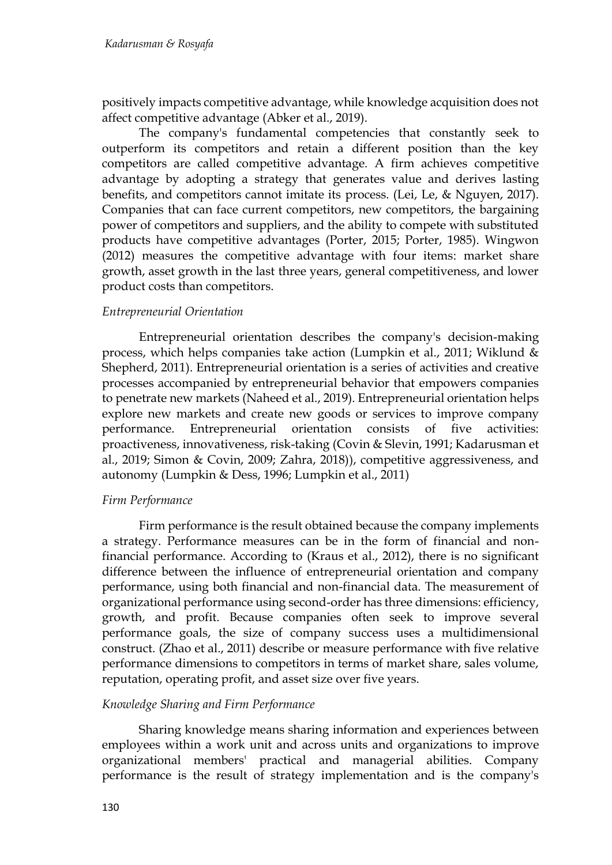positively impacts competitive advantage, while knowledge acquisition does not affect competitive advantage (Abker et al., 2019).

The company's fundamental competencies that constantly seek to outperform its competitors and retain a different position than the key competitors are called competitive advantage. A firm achieves competitive advantage by adopting a strategy that generates value and derives lasting benefits, and competitors cannot imitate its process. (Lei, Le, & Nguyen, 2017). Companies that can face current competitors, new competitors, the bargaining power of competitors and suppliers, and the ability to compete with substituted products have competitive advantages (Porter, 2015; Porter, 1985). Wingwon (2012) measures the competitive advantage with four items: market share growth, asset growth in the last three years, general competitiveness, and lower product costs than competitors.

## *Entrepreneurial Orientation*

Entrepreneurial orientation describes the company's decision-making process, which helps companies take action (Lumpkin et al., 2011; Wiklund & Shepherd, 2011). Entrepreneurial orientation is a series of activities and creative processes accompanied by entrepreneurial behavior that empowers companies to penetrate new markets (Naheed et al., 2019). Entrepreneurial orientation helps explore new markets and create new goods or services to improve company performance. Entrepreneurial orientation consists of five activities: proactiveness, innovativeness, risk-taking (Covin & Slevin, 1991; Kadarusman et al., 2019; Simon & Covin, 2009; Zahra, 2018)), competitive aggressiveness, and autonomy (Lumpkin & Dess, 1996; Lumpkin et al., 2011)

## *Firm Performance*

Firm performance is the result obtained because the company implements a strategy. Performance measures can be in the form of financial and nonfinancial performance. According to (Kraus et al., 2012), there is no significant difference between the influence of entrepreneurial orientation and company performance, using both financial and non-financial data. The measurement of organizational performance using second-order has three dimensions: efficiency, growth, and profit. Because companies often seek to improve several performance goals, the size of company success uses a multidimensional construct. (Zhao et al., 2011) describe or measure performance with five relative performance dimensions to competitors in terms of market share, sales volume, reputation, operating profit, and asset size over five years.

#### *Knowledge Sharing and Firm Performance*

Sharing knowledge means sharing information and experiences between employees within a work unit and across units and organizations to improve organizational members' practical and managerial abilities. Company performance is the result of strategy implementation and is the company's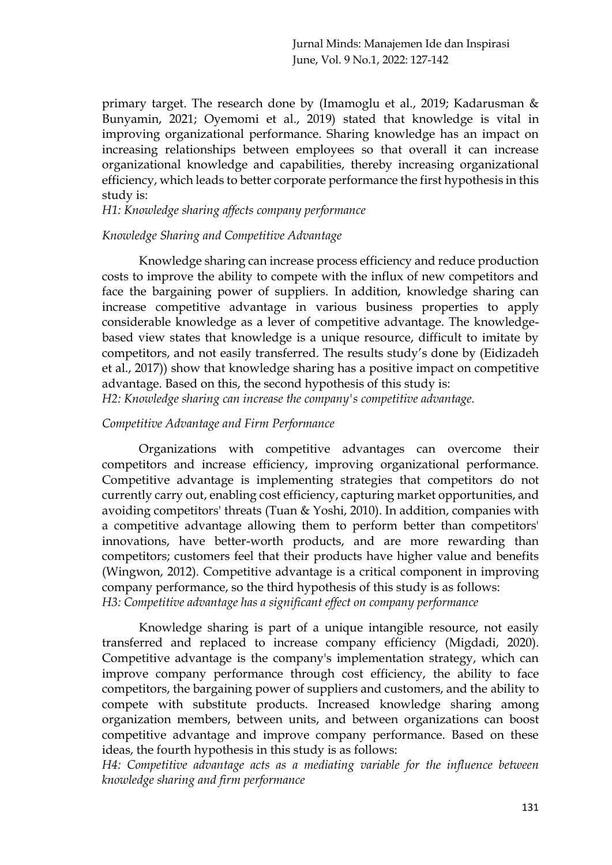primary target. The research done by (Imamoglu et al., 2019; Kadarusman & Bunyamin, 2021; Oyemomi et al., 2019) stated that knowledge is vital in improving organizational performance. Sharing knowledge has an impact on increasing relationships between employees so that overall it can increase organizational knowledge and capabilities, thereby increasing organizational efficiency, which leads to better corporate performance the first hypothesis in this study is:

## *H1: Knowledge sharing affects company performance*

#### *Knowledge Sharing and Competitive Advantage*

Knowledge sharing can increase process efficiency and reduce production costs to improve the ability to compete with the influx of new competitors and face the bargaining power of suppliers. In addition, knowledge sharing can increase competitive advantage in various business properties to apply considerable knowledge as a lever of competitive advantage. The knowledgebased view states that knowledge is a unique resource, difficult to imitate by competitors, and not easily transferred. The results study's done by (Eidizadeh et al., 2017)) show that knowledge sharing has a positive impact on competitive advantage. Based on this, the second hypothesis of this study is:

*H2: Knowledge sharing can increase the company's competitive advantage.*

#### *Competitive Advantage and Firm Performance*

Organizations with competitive advantages can overcome their competitors and increase efficiency, improving organizational performance. Competitive advantage is implementing strategies that competitors do not currently carry out, enabling cost efficiency, capturing market opportunities, and avoiding competitors' threats (Tuan & Yoshi, 2010). In addition, companies with a competitive advantage allowing them to perform better than competitors' innovations, have better-worth products, and are more rewarding than competitors; customers feel that their products have higher value and benefits (Wingwon, 2012). Competitive advantage is a critical component in improving company performance, so the third hypothesis of this study is as follows: *H3: Competitive advantage has a significant effect on company performance*

Knowledge sharing is part of a unique intangible resource, not easily transferred and replaced to increase company efficiency (Migdadi, 2020). Competitive advantage is the company's implementation strategy, which can improve company performance through cost efficiency, the ability to face competitors, the bargaining power of suppliers and customers, and the ability to compete with substitute products. Increased knowledge sharing among organization members, between units, and between organizations can boost competitive advantage and improve company performance. Based on these ideas, the fourth hypothesis in this study is as follows:

*H4: Competitive advantage acts as a mediating variable for the influence between knowledge sharing and firm performance*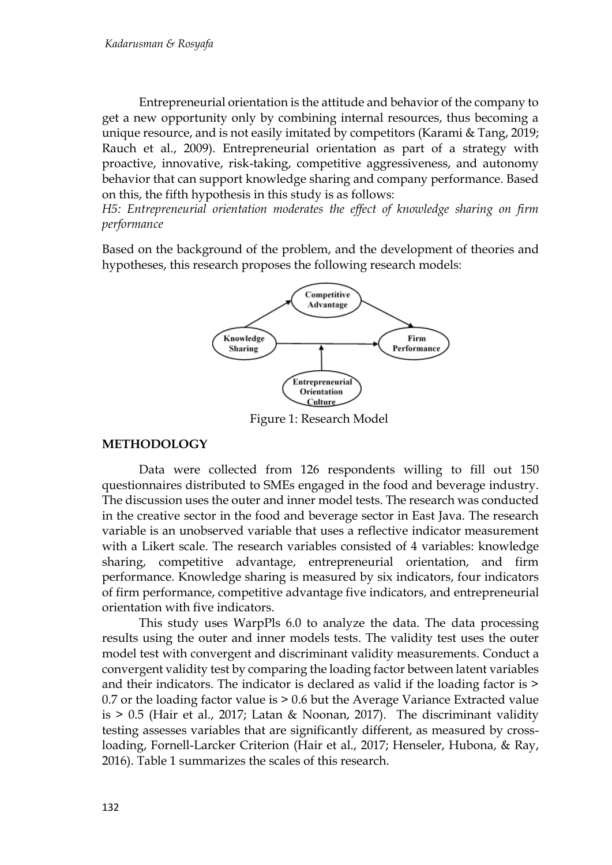Entrepreneurial orientation is the attitude and behavior of the company to get a new opportunity only by combining internal resources, thus becoming a unique resource, and is not easily imitated by competitors (Karami & Tang, 2019; Rauch et al., 2009). Entrepreneurial orientation as part of a strategy with proactive, innovative, risk-taking, competitive aggressiveness, and autonomy behavior that can support knowledge sharing and company performance. Based on this, the fifth hypothesis in this study is as follows:

*H5: Entrepreneurial orientation moderates the effect of knowledge sharing on firm performance*

Based on the background of the problem, and the development of theories and hypotheses, this research proposes the following research models:



Figure 1: Research Model

#### **METHODOLOGY**

Data were collected from 126 respondents willing to fill out 150 questionnaires distributed to SMEs engaged in the food and beverage industry. The discussion uses the outer and inner model tests. The research was conducted in the creative sector in the food and beverage sector in East Java. The research variable is an unobserved variable that uses a reflective indicator measurement with a Likert scale. The research variables consisted of 4 variables: knowledge sharing, competitive advantage, entrepreneurial orientation, and firm performance. Knowledge sharing is measured by six indicators, four indicators of firm performance, competitive advantage five indicators, and entrepreneurial orientation with five indicators.

This study uses WarpPls 6.0 to analyze the data. The data processing results using the outer and inner models tests. The validity test uses the outer model test with convergent and discriminant validity measurements. Conduct a convergent validity test by comparing the loading factor between latent variables and their indicators. The indicator is declared as valid if the loading factor is > 0.7 or the loading factor value is > 0.6 but the Average Variance Extracted value is > 0.5 (Hair et al., 2017; Latan & Noonan, 2017). The discriminant validity testing assesses variables that are significantly different, as measured by crossloading, Fornell-Larcker Criterion (Hair et al., 2017; Henseler, Hubona, & Ray, 2016). Table 1 summarizes the scales of this research.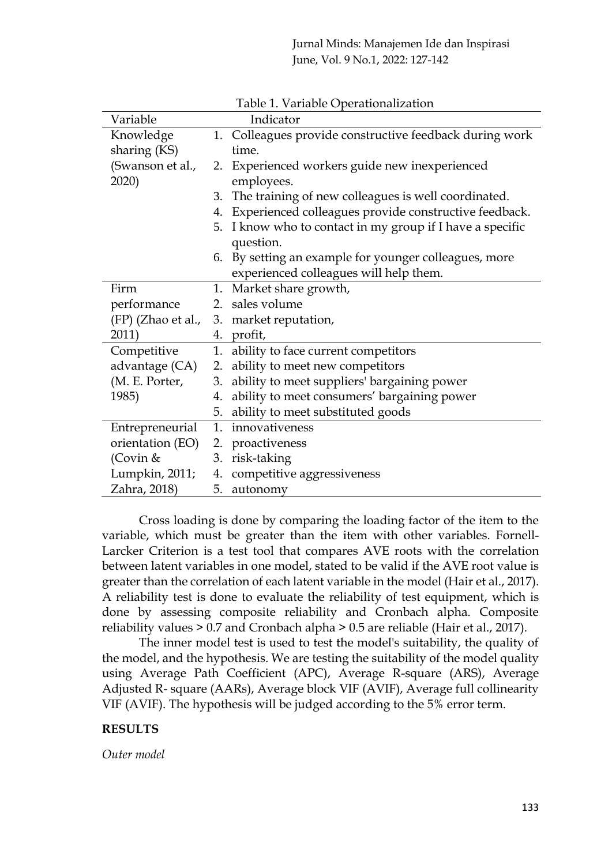| Variable                          |    | Indicator                                               |
|-----------------------------------|----|---------------------------------------------------------|
| Knowledge                         |    | 1. Colleagues provide constructive feedback during work |
| sharing (KS)                      |    | time.                                                   |
| (Swanson et al.,                  |    | 2. Experienced workers guide new inexperienced          |
| 2020)                             |    | employees.                                              |
|                                   | 3. | The training of new colleagues is well coordinated.     |
|                                   | 4. | Experienced colleagues provide constructive feedback.   |
|                                   | 5. | I know who to contact in my group if I have a specific  |
|                                   |    | question.                                               |
|                                   |    | 6. By setting an example for younger colleagues, more   |
|                                   |    | experienced colleagues will help them.                  |
| Firm                              | 1. | Market share growth,                                    |
| performance                       |    | 2. sales volume                                         |
| (FP) (Zhao et al.,                | 3. | market reputation,                                      |
| 2011)                             |    | 4. profit,                                              |
| Competitive                       |    | 1. ability to face current competitors                  |
| advantage (CA)                    | 2. | ability to meet new competitors                         |
| (M. E. Porter,                    | 3. | ability to meet suppliers' bargaining power             |
| 1985)                             | 4. | ability to meet consumers' bargaining power             |
|                                   | 5. | ability to meet substituted goods                       |
| Entrepreneurial                   | 1. | innovativeness                                          |
| orientation (EO) 2. proactiveness |    |                                                         |
| (Covin $&$                        | 3. | risk-taking                                             |
| Lumpkin, 2011;                    |    | 4. competitive aggressiveness                           |
| Zahra, 2018)                      |    | 5. autonomy                                             |

Table 1. Variable Operationalization

Cross loading is done by comparing the loading factor of the item to the variable, which must be greater than the item with other variables. Fornell-Larcker Criterion is a test tool that compares AVE roots with the correlation between latent variables in one model, stated to be valid if the AVE root value is greater than the correlation of each latent variable in the model (Hair et al., 2017). A reliability test is done to evaluate the reliability of test equipment, which is done by assessing composite reliability and Cronbach alpha. Composite reliability values > 0.7 and Cronbach alpha > 0.5 are reliable (Hair et al., 2017).

The inner model test is used to test the model's suitability, the quality of the model, and the hypothesis. We are testing the suitability of the model quality using Average Path Coefficient (APC), Average R-square (ARS), Average Adjusted R- square (AARs), Average block VIF (AVIF), Average full collinearity VIF (AVIF). The hypothesis will be judged according to the 5% error term.

# **RESULTS**

*Outer model*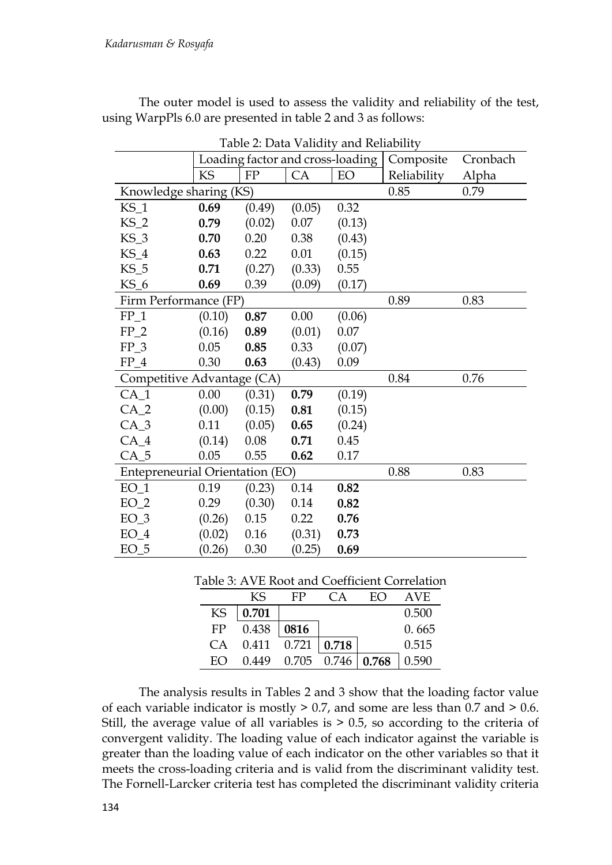The outer model is used to assess the validity and reliability of the test, using WarpPls 6.0 are presented in table 2 and 3 as follows:

|                                 | Table 2: Data Validity and Reliability |                                  |        |        |             |          |  |
|---------------------------------|----------------------------------------|----------------------------------|--------|--------|-------------|----------|--|
|                                 |                                        | Loading factor and cross-loading |        |        | Composite   | Cronbach |  |
|                                 | KS                                     | FP                               | CA     | EO     | Reliability | Alpha    |  |
| Knowledge sharing (KS)          |                                        |                                  |        | 0.85   | 0.79        |          |  |
| $KS_1$                          | 0.69                                   | (0.49)                           | (0.05) | 0.32   |             |          |  |
| $KS_2$                          | 0.79                                   | (0.02)                           | 0.07   | (0.13) |             |          |  |
| $KS_3$                          | 0.70                                   | 0.20                             | 0.38   | (0.43) |             |          |  |
| $KS_4$                          | 0.63                                   | 0.22                             | 0.01   | (0.15) |             |          |  |
| $KS_5$                          | 0.71                                   | (0.27)                           | (0.33) | 0.55   |             |          |  |
| $KS_6$                          | 0.69                                   | 0.39                             | (0.09) | (0.17) |             |          |  |
| Firm Performance (FP)           |                                        |                                  |        |        | 0.89        | 0.83     |  |
| $FP_1$                          | (0.10)                                 | 0.87                             | 0.00   | (0.06) |             |          |  |
| $FP_2$                          | (0.16)                                 | 0.89                             | (0.01) | 0.07   |             |          |  |
| $FP_3$                          | 0.05                                   | 0.85                             | 0.33   | (0.07) |             |          |  |
| $FP_4$                          | 0.30                                   | 0.63                             | (0.43) | 0.09   |             |          |  |
| Competitive Advantage (CA)      |                                        |                                  |        | 0.84   | 0.76        |          |  |
| $CA_1$                          | 0.00                                   | (0.31)                           | 0.79   | (0.19) |             |          |  |
| $CA_2$                          | (0.00)                                 | (0.15)                           | 0.81   | (0.15) |             |          |  |
| $CA_3$                          | 0.11                                   | (0.05)                           | 0.65   | (0.24) |             |          |  |
| $CA_4$                          | (0.14)                                 | 0.08                             | 0.71   | 0.45   |             |          |  |
| $CA_5$                          | 0.05                                   | 0.55                             | 0.62   | 0.17   |             |          |  |
| Entepreneurial Orientation (EO) |                                        |                                  |        |        | 0.88        | 0.83     |  |
| $EO_1$                          | 0.19                                   | (0.23)                           | 0.14   | 0.82   |             |          |  |
| $EO_2$                          | 0.29                                   | (0.30)                           | 0.14   | 0.82   |             |          |  |
| $EO_3$                          | (0.26)                                 | 0.15                             | 0.22   | 0.76   |             |          |  |
| $EO_4$                          | (0.02)                                 | 0.16                             | (0.31) | 0.73   |             |          |  |
| $EO_5$                          | (0.26)                                 | 0.30                             | (0.25) | 0.69   |             |          |  |

Table 2: Data Validity and Reliability

|    | KS    | FЬ                        | $\Gamma$ A              | FO | AVE.  |
|----|-------|---------------------------|-------------------------|----|-------|
| KS | 0.701 |                           |                         |    | 0.500 |
| FP | 0.438 | 0816                      |                         |    | 0.665 |
| СA |       | $0.411$ $0.721$   $0.718$ |                         |    | 0.515 |
| FO | 0.449 |                           | $0.705$ $0.746$   0.768 |    | 0.590 |

The analysis results in Tables 2 and 3 show that the loading factor value of each variable indicator is mostly  $> 0.7$ , and some are less than 0.7 and  $> 0.6$ . Still, the average value of all variables is  $> 0.5$ , so according to the criteria of convergent validity. The loading value of each indicator against the variable is greater than the loading value of each indicator on the other variables so that it meets the cross-loading criteria and is valid from the discriminant validity test. The Fornell-Larcker criteria test has completed the discriminant validity criteria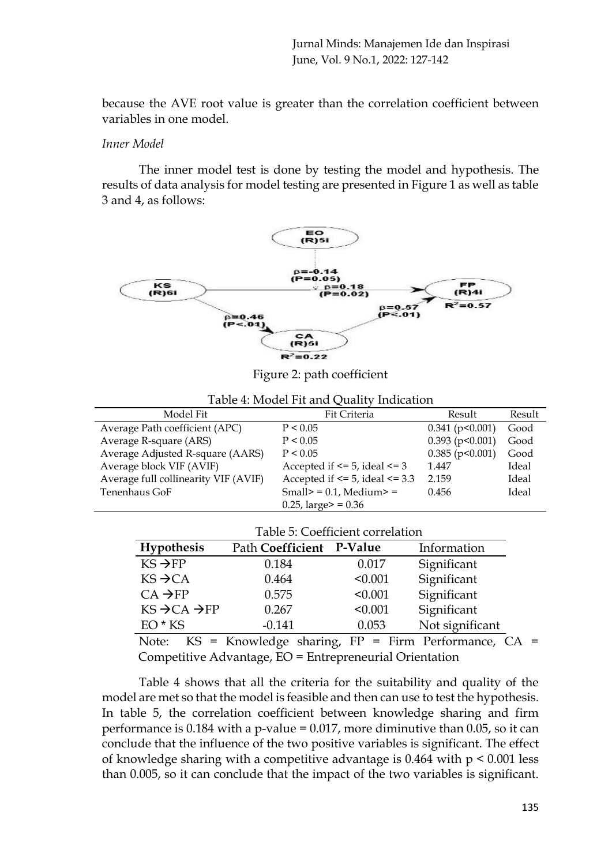because the AVE root value is greater than the correlation coefficient between variables in one model.

#### *Inner Model*

The inner model test is done by testing the model and hypothesis. The results of data analysis for model testing are presented in Figure 1 as well as table 3 and 4, as follows:



Figure 2: path coefficient

| Model Fit                            | Fit Criteria                           | Result            | Result |
|--------------------------------------|----------------------------------------|-------------------|--------|
| Average Path coefficient (APC)       | P < 0.05                               | 0.341 (p<0.001)   | Good   |
| Average R-square (ARS)               | P < 0.05                               | $0.393$ (p<0.001) | Good   |
| Average Adjusted R-square (AARS)     | P < 0.05                               | $0.385$ (p<0.001) | Good   |
| Average block VIF (AVIF)             | Accepted if $\leq$ 5, ideal $\leq$ 3   | 1.447             | Ideal  |
| Average full collinearity VIF (AVIF) | Accepted if $\leq$ 5, ideal $\leq$ 3.3 | 2.159             | Ideal  |
| Tenenhaus GoF                        | $Small> = 0.1$ , Medium $> =$          | 0.456             | Ideal  |
|                                      | $0.25$ , large > = 0.36                |                   |        |

| Table 5: Coefficient correlation   |                          |         |                 |  |  |
|------------------------------------|--------------------------|---------|-----------------|--|--|
| <b>Hypothesis</b>                  | Path Coefficient P-Value |         | Information     |  |  |
| $KS \rightarrow FP$                | 0.184                    | 0.017   | Significant     |  |  |
| $KS \rightarrow CA$                | 0.464                    | < 0.001 | Significant     |  |  |
| $CA \rightarrow FP$                | 0.575                    | < 0.001 | Significant     |  |  |
| $KS \rightarrow CA \rightarrow FP$ | 0.267                    | < 0.001 | Significant     |  |  |
| EO <sup>*</sup> KS                 | $-0.141$                 | 0.053   | Not significant |  |  |
|                                    |                          |         |                 |  |  |

Note:  $KS =$  Knowledge sharing,  $FP =$  Firm Performance,  $CA =$ Competitive Advantage, EO = Entrepreneurial Orientation

Table 4 shows that all the criteria for the suitability and quality of the model are met so that the model is feasible and then can use to test the hypothesis. In table 5, the correlation coefficient between knowledge sharing and firm performance is 0.184 with a p-value = 0.017, more diminutive than 0.05, so it can conclude that the influence of the two positive variables is significant. The effect of knowledge sharing with a competitive advantage is  $0.464$  with  $p \leq 0.001$  less than 0.005, so it can conclude that the impact of the two variables is significant.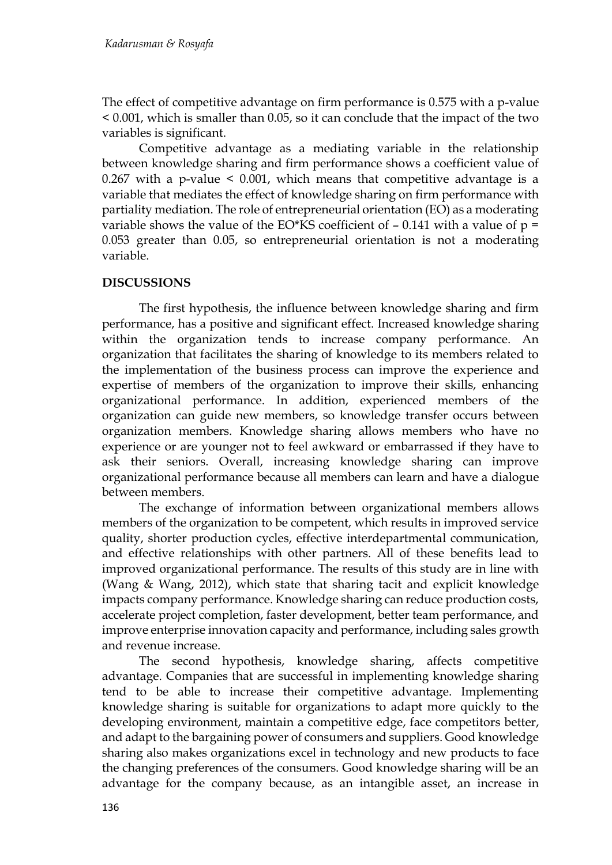The effect of competitive advantage on firm performance is 0.575 with a p-value < 0.001, which is smaller than 0.05, so it can conclude that the impact of the two variables is significant.

Competitive advantage as a mediating variable in the relationship between knowledge sharing and firm performance shows a coefficient value of 0.267 with a p-value < 0.001, which means that competitive advantage is a variable that mediates the effect of knowledge sharing on firm performance with partiality mediation. The role of entrepreneurial orientation (EO) as a moderating variable shows the value of the EO\*KS coefficient of  $-0.141$  with a value of  $p =$ 0.053 greater than 0.05, so entrepreneurial orientation is not a moderating variable.

#### **DISCUSSIONS**

The first hypothesis, the influence between knowledge sharing and firm performance, has a positive and significant effect. Increased knowledge sharing within the organization tends to increase company performance. An organization that facilitates the sharing of knowledge to its members related to the implementation of the business process can improve the experience and expertise of members of the organization to improve their skills, enhancing organizational performance. In addition, experienced members of the organization can guide new members, so knowledge transfer occurs between organization members. Knowledge sharing allows members who have no experience or are younger not to feel awkward or embarrassed if they have to ask their seniors. Overall, increasing knowledge sharing can improve organizational performance because all members can learn and have a dialogue between members.

The exchange of information between organizational members allows members of the organization to be competent, which results in improved service quality, shorter production cycles, effective interdepartmental communication, and effective relationships with other partners. All of these benefits lead to improved organizational performance. The results of this study are in line with (Wang & Wang, 2012), which state that sharing tacit and explicit knowledge impacts company performance. Knowledge sharing can reduce production costs, accelerate project completion, faster development, better team performance, and improve enterprise innovation capacity and performance, including sales growth and revenue increase.

The second hypothesis, knowledge sharing, affects competitive advantage. Companies that are successful in implementing knowledge sharing tend to be able to increase their competitive advantage. Implementing knowledge sharing is suitable for organizations to adapt more quickly to the developing environment, maintain a competitive edge, face competitors better, and adapt to the bargaining power of consumers and suppliers. Good knowledge sharing also makes organizations excel in technology and new products to face the changing preferences of the consumers. Good knowledge sharing will be an advantage for the company because, as an intangible asset, an increase in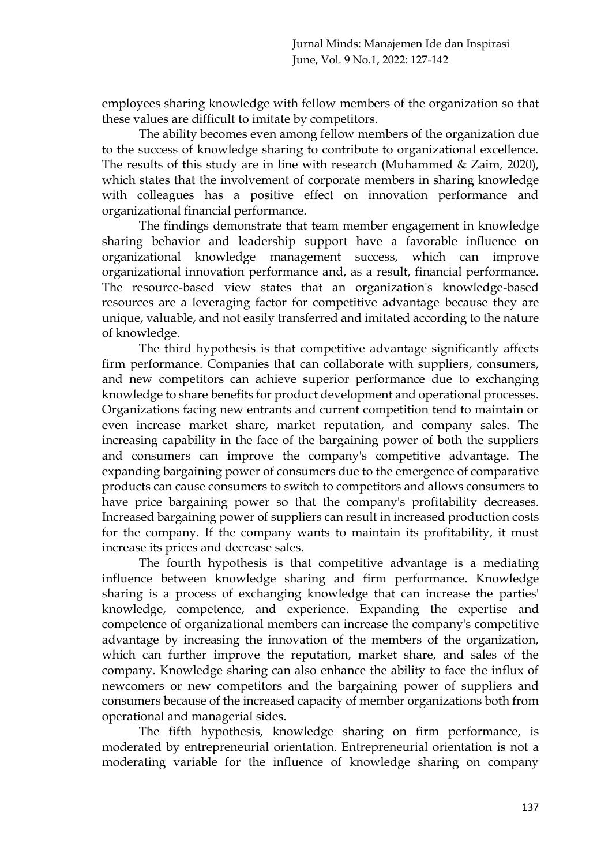employees sharing knowledge with fellow members of the organization so that these values are difficult to imitate by competitors.

The ability becomes even among fellow members of the organization due to the success of knowledge sharing to contribute to organizational excellence. The results of this study are in line with research (Muhammed & Zaim, 2020), which states that the involvement of corporate members in sharing knowledge with colleagues has a positive effect on innovation performance and organizational financial performance.

The findings demonstrate that team member engagement in knowledge sharing behavior and leadership support have a favorable influence on organizational knowledge management success, which can improve organizational innovation performance and, as a result, financial performance. The resource-based view states that an organization's knowledge-based resources are a leveraging factor for competitive advantage because they are unique, valuable, and not easily transferred and imitated according to the nature of knowledge.

The third hypothesis is that competitive advantage significantly affects firm performance. Companies that can collaborate with suppliers, consumers, and new competitors can achieve superior performance due to exchanging knowledge to share benefits for product development and operational processes. Organizations facing new entrants and current competition tend to maintain or even increase market share, market reputation, and company sales. The increasing capability in the face of the bargaining power of both the suppliers and consumers can improve the company's competitive advantage. The expanding bargaining power of consumers due to the emergence of comparative products can cause consumers to switch to competitors and allows consumers to have price bargaining power so that the company's profitability decreases. Increased bargaining power of suppliers can result in increased production costs for the company. If the company wants to maintain its profitability, it must increase its prices and decrease sales.

The fourth hypothesis is that competitive advantage is a mediating influence between knowledge sharing and firm performance. Knowledge sharing is a process of exchanging knowledge that can increase the parties' knowledge, competence, and experience. Expanding the expertise and competence of organizational members can increase the company's competitive advantage by increasing the innovation of the members of the organization, which can further improve the reputation, market share, and sales of the company. Knowledge sharing can also enhance the ability to face the influx of newcomers or new competitors and the bargaining power of suppliers and consumers because of the increased capacity of member organizations both from operational and managerial sides.

The fifth hypothesis, knowledge sharing on firm performance, is moderated by entrepreneurial orientation. Entrepreneurial orientation is not a moderating variable for the influence of knowledge sharing on company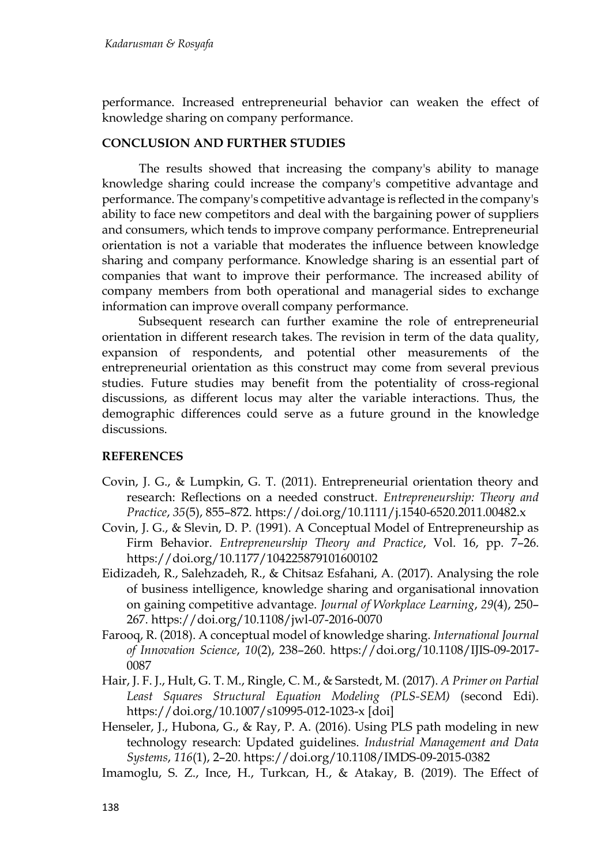performance. Increased entrepreneurial behavior can weaken the effect of knowledge sharing on company performance.

# **CONCLUSION AND FURTHER STUDIES**

The results showed that increasing the company's ability to manage knowledge sharing could increase the company's competitive advantage and performance. The company's competitive advantage is reflected in the company's ability to face new competitors and deal with the bargaining power of suppliers and consumers, which tends to improve company performance. Entrepreneurial orientation is not a variable that moderates the influence between knowledge sharing and company performance. Knowledge sharing is an essential part of companies that want to improve their performance. The increased ability of company members from both operational and managerial sides to exchange information can improve overall company performance.

Subsequent research can further examine the role of entrepreneurial orientation in different research takes. The revision in term of the data quality, expansion of respondents, and potential other measurements of the entrepreneurial orientation as this construct may come from several previous studies. Future studies may benefit from the potentiality of cross-regional discussions, as different locus may alter the variable interactions. Thus, the demographic differences could serve as a future ground in the knowledge discussions.

# **REFERENCES**

- Covin, J. G., & Lumpkin, G. T. (2011). Entrepreneurial orientation theory and research: Reflections on a needed construct. *Entrepreneurship: Theory and Practice*, *35*(5), 855–872. https://doi.org/10.1111/j.1540-6520.2011.00482.x
- Covin, J. G., & Slevin, D. P. (1991). A Conceptual Model of Entrepreneurship as Firm Behavior. *Entrepreneurship Theory and Practice*, Vol. 16, pp. 7–26. https://doi.org/10.1177/104225879101600102
- Eidizadeh, R., Salehzadeh, R., & Chitsaz Esfahani, A. (2017). Analysing the role of business intelligence, knowledge sharing and organisational innovation on gaining competitive advantage. *Journal of Workplace Learning*, *29*(4), 250– 267. https://doi.org/10.1108/jwl-07-2016-0070
- Farooq, R. (2018). A conceptual model of knowledge sharing. *International Journal of Innovation Science*, *10*(2), 238–260. https://doi.org/10.1108/IJIS-09-2017- 0087
- Hair, J. F. J., Hult, G. T. M., Ringle, C. M., & Sarstedt, M. (2017). *A Primer on Partial Least Squares Structural Equation Modeling (PLS-SEM)* (second Edi). https://doi.org/10.1007/s10995-012-1023-x [doi]
- Henseler, J., Hubona, G., & Ray, P. A. (2016). Using PLS path modeling in new technology research: Updated guidelines. *Industrial Management and Data Systems*, *116*(1), 2–20. https://doi.org/10.1108/IMDS-09-2015-0382
- Imamoglu, S. Z., Ince, H., Turkcan, H., & Atakay, B. (2019). The Effect of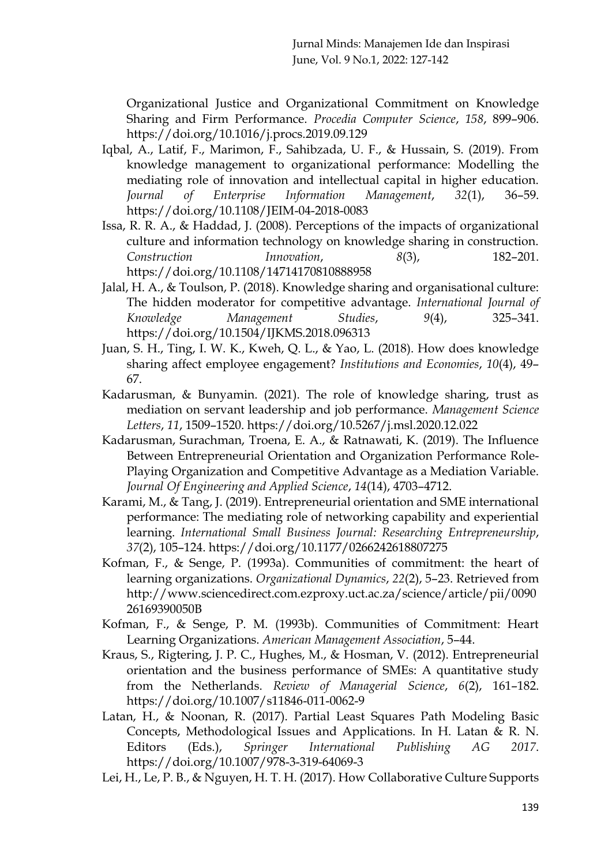Organizational Justice and Organizational Commitment on Knowledge Sharing and Firm Performance. *Procedia Computer Science*, *158*, 899–906. https://doi.org/10.1016/j.procs.2019.09.129

- Iqbal, A., Latif, F., Marimon, F., Sahibzada, U. F., & Hussain, S. (2019). From knowledge management to organizational performance: Modelling the mediating role of innovation and intellectual capital in higher education. *Journal of Enterprise Information Management*, *32*(1), 36–59. https://doi.org/10.1108/JEIM-04-2018-0083
- Issa, R. R. A., & Haddad, J. (2008). Perceptions of the impacts of organizational culture and information technology on knowledge sharing in construction. *Construction Innovation*, *8*(3), 182–201. https://doi.org/10.1108/14714170810888958
- Jalal, H. A., & Toulson, P. (2018). Knowledge sharing and organisational culture: The hidden moderator for competitive advantage. *International Journal of Knowledge Management Studies*, *9*(4), 325–341. https://doi.org/10.1504/IJKMS.2018.096313
- Juan, S. H., Ting, I. W. K., Kweh, Q. L., & Yao, L. (2018). How does knowledge sharing affect employee engagement? *Institutions and Economies*, *10*(4), 49– 67.
- Kadarusman, & Bunyamin. (2021). The role of knowledge sharing, trust as mediation on servant leadership and job performance. *Management Science Letters*, *11*, 1509–1520. https://doi.org/10.5267/j.msl.2020.12.022
- Kadarusman, Surachman, Troena, E. A., & Ratnawati, K. (2019). The Influence Between Entrepreneurial Orientation and Organization Performance Role-Playing Organization and Competitive Advantage as a Mediation Variable. *Journal Of Engineering and Applied Science*, *14*(14), 4703–4712.
- Karami, M., & Tang, J. (2019). Entrepreneurial orientation and SME international performance: The mediating role of networking capability and experiential learning. *International Small Business Journal: Researching Entrepreneurship*, *37*(2), 105–124. https://doi.org/10.1177/0266242618807275
- Kofman, F., & Senge, P. (1993a). Communities of commitment: the heart of learning organizations. *Organizational Dynamics*, *22*(2), 5–23. Retrieved from http://www.sciencedirect.com.ezproxy.uct.ac.za/science/article/pii/0090 26169390050B
- Kofman, F., & Senge, P. M. (1993b). Communities of Commitment: Heart Learning Organizations. *American Management Association*, 5–44.
- Kraus, S., Rigtering, J. P. C., Hughes, M., & Hosman, V. (2012). Entrepreneurial orientation and the business performance of SMEs: A quantitative study from the Netherlands. *Review of Managerial Science*, *6*(2), 161–182. https://doi.org/10.1007/s11846-011-0062-9
- Latan, H., & Noonan, R. (2017). Partial Least Squares Path Modeling Basic Concepts, Methodological Issues and Applications. In H. Latan & R. N. Editors (Eds.), *Springer International Publishing AG 2017*. https://doi.org/10.1007/978-3-319-64069-3
- Lei, H., Le, P. B., & Nguyen, H. T. H. (2017). How Collaborative Culture Supports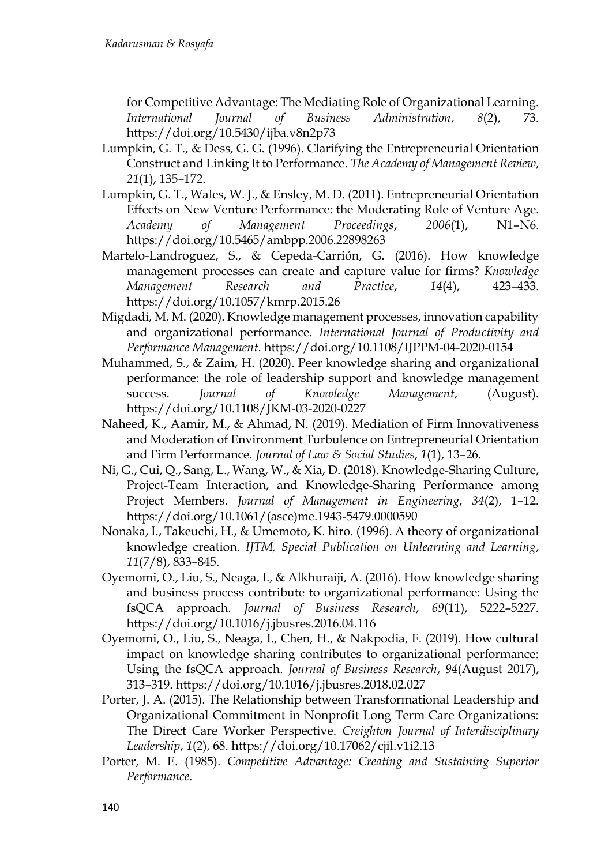for Competitive Advantage: The Mediating Role of Organizational Learning.<br>International Journal of Business Administration, 8(2), 73. *International Journal of Business Administration*, *8*(2), 73. https://doi.org/10.5430/ijba.v8n2p73

- Lumpkin, G. T., & Dess, G. G. (1996). Clarifying the Entrepreneurial Orientation Construct and Linking It to Performance. *The Academy of Management Review*, *21*(1), 135–172.
- Lumpkin, G. T., Wales, W. J., & Ensley, M. D. (2011). Entrepreneurial Orientation Effects on New Venture Performance: the Moderating Role of Venture Age. *Academy of Management Proceedings*, *2006*(1), N1–N6. https://doi.org/10.5465/ambpp.2006.22898263
- Martelo-Landroguez, S., & Cepeda-Carrión, G. (2016). How knowledge management processes can create and capture value for firms? *Knowledge Management Research and Practice*, *14*(4), 423–433. https://doi.org/10.1057/kmrp.2015.26
- Migdadi, M. M. (2020). Knowledge management processes, innovation capability and organizational performance. *International Journal of Productivity and Performance Management*. https://doi.org/10.1108/IJPPM-04-2020-0154
- Muhammed, S., & Zaim, H. (2020). Peer knowledge sharing and organizational performance: the role of leadership support and knowledge management success. *Journal of Knowledge Management*, (August). https://doi.org/10.1108/JKM-03-2020-0227
- Naheed, K., Aamir, M., & Ahmad, N. (2019). Mediation of Firm Innovativeness and Moderation of Environment Turbulence on Entrepreneurial Orientation and Firm Performance. *Journal of Law & Social Studies*, *1*(1), 13–26.
- Ni, G., Cui, Q., Sang, L., Wang, W., & Xia, D. (2018). Knowledge-Sharing Culture, Project-Team Interaction, and Knowledge-Sharing Performance among Project Members. *Journal of Management in Engineering*, *34*(2), 1–12. https://doi.org/10.1061/(asce)me.1943-5479.0000590
- Nonaka, I., Takeuchi, H., & Umemoto, K. hiro. (1996). A theory of organizational knowledge creation. *IJTM, Special Publication on Unlearning and Learning*, *11*(7/8), 833–845.
- Oyemomi, O., Liu, S., Neaga, I., & Alkhuraiji, A. (2016). How knowledge sharing and business process contribute to organizational performance: Using the fsQCA approach. *Journal of Business Research*, *69*(11), 5222–5227. https://doi.org/10.1016/j.jbusres.2016.04.116
- Oyemomi, O., Liu, S., Neaga, I., Chen, H., & Nakpodia, F. (2019). How cultural impact on knowledge sharing contributes to organizational performance: Using the fsQCA approach. *Journal of Business Research*, *94*(August 2017), 313–319. https://doi.org/10.1016/j.jbusres.2018.02.027
- Porter, J. A. (2015). The Relationship between Transformational Leadership and Organizational Commitment in Nonprofit Long Term Care Organizations: The Direct Care Worker Perspective. *Creighton Journal of Interdisciplinary Leadership*, *1*(2), 68. https://doi.org/10.17062/cjil.v1i2.13
- Porter, M. E. (1985). *Competitive Advantage: Creating and Sustaining Superior Performance*.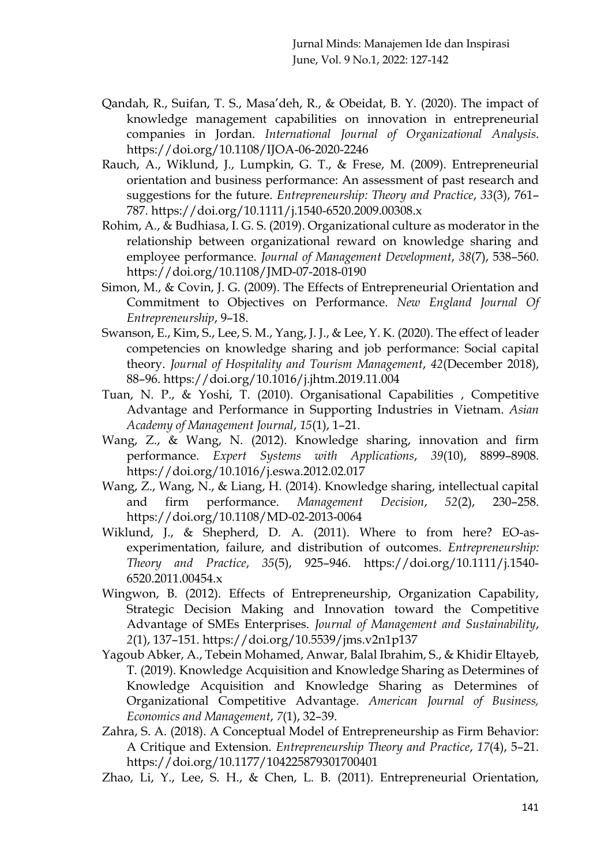- Qandah, R., Suifan, T. S., Masa'deh, R., & Obeidat, B. Y. (2020). The impact of knowledge management capabilities on innovation in entrepreneurial companies in Jordan. *International Journal of Organizational Analysis*. https://doi.org/10.1108/IJOA-06-2020-2246
- Rauch, A., Wiklund, J., Lumpkin, G. T., & Frese, M. (2009). Entrepreneurial orientation and business performance: An assessment of past research and suggestions for the future. *Entrepreneurship: Theory and Practice*, *33*(3), 761– 787. https://doi.org/10.1111/j.1540-6520.2009.00308.x
- Rohim, A., & Budhiasa, I. G. S. (2019). Organizational culture as moderator in the relationship between organizational reward on knowledge sharing and employee performance. *Journal of Management Development*, *38*(7), 538–560. https://doi.org/10.1108/JMD-07-2018-0190
- Simon, M., & Covin, J. G. (2009). The Effects of Entrepreneurial Orientation and Commitment to Objectives on Performance. *New England Journal Of Entrepreneurship*, 9–18.
- Swanson, E., Kim, S., Lee, S. M., Yang, J. J., & Lee, Y. K. (2020). The effect of leader competencies on knowledge sharing and job performance: Social capital theory. *Journal of Hospitality and Tourism Management*, *42*(December 2018), 88–96. https://doi.org/10.1016/j.jhtm.2019.11.004
- Tuan, N. P., & Yoshi, T. (2010). Organisational Capabilities , Competitive Advantage and Performance in Supporting Industries in Vietnam. *Asian Academy of Management Journal*, *15*(1), 1–21.
- Wang, Z., & Wang, N. (2012). Knowledge sharing, innovation and firm performance. *Expert Systems with Applications*, *39*(10), 8899–8908. https://doi.org/10.1016/j.eswa.2012.02.017
- Wang, Z., Wang, N., & Liang, H. (2014). Knowledge sharing, intellectual capital and firm performance. *Management Decision*, *52*(2), 230–258. https://doi.org/10.1108/MD-02-2013-0064
- Wiklund, J., & Shepherd, D. A. (2011). Where to from here? EO-asexperimentation, failure, and distribution of outcomes. *Entrepreneurship: Theory and Practice*, *35*(5), 925–946. https://doi.org/10.1111/j.1540- 6520.2011.00454.x
- Wingwon, B. (2012). Effects of Entrepreneurship, Organization Capability, Strategic Decision Making and Innovation toward the Competitive Advantage of SMEs Enterprises. *Journal of Management and Sustainability*, *2*(1), 137–151. https://doi.org/10.5539/jms.v2n1p137
- Yagoub Abker, A., Tebein Mohamed, Anwar, Balal Ibrahim, S., & Khidir Eltayeb, T. (2019). Knowledge Acquisition and Knowledge Sharing as Determines of Knowledge Acquisition and Knowledge Sharing as Determines of Organizational Competitive Advantage. *American Journal of Business, Economics and Management*, *7*(1), 32–39.
- Zahra, S. A. (2018). A Conceptual Model of Entrepreneurship as Firm Behavior: A Critique and Extension. *Entrepreneurship Theory and Practice*, *17*(4), 5–21. https://doi.org/10.1177/104225879301700401
- Zhao, Li, Y., Lee, S. H., & Chen, L. B. (2011). Entrepreneurial Orientation,